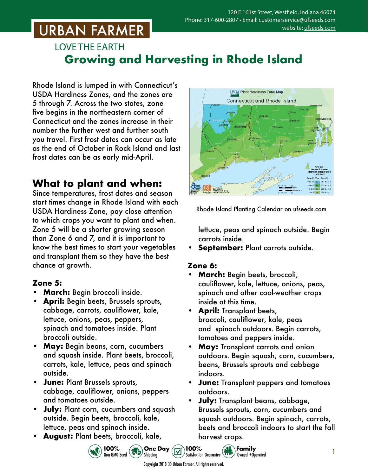## **URBAN FARMER**

## **LOVE THE EARTH Growing and Harvesting in Rhode Island**

Rhode Island is lumped in with Connecticut's USDA Hardiness Zones, and the zones are 5 through 7. Across the two states, zone five begins in the northeastern corner of Connecticut and the zones increase in their number the further west and further south you travel. First frost dates can occur as late as the end of October in Rock Island and last frost dates can be as early mid-April.

## **What to plant and when:**

Since temperatures, frost dates and season start times change in Rhode Island with each USDA Hardiness Zone, pay close attention to which crops you want to plant and when. Zone 5 will be a shorter growing season than Zone 6 and 7, and it is important to know the best times to start your vegetables and transplant them so they have the best chance at growth.

### **Zone 5:**

- **• March:** Begin broccoli inside.
- **• April:** Begin beets, Brussels sprouts, cabbage, carrots, cauliflower, kale, lettuce, onions, peas, peppers, spinach and tomatoes inside. Plant broccoli outside.
- **• May:** Begin beans, corn, cucumbers and squash inside. Plant beets, broccoli, carrots, kale, lettuce, peas and spinach outside.
- **• June:** Plant Brussels sprouts, cabbage, cauliflower, onions, peppers and tomatoes outside.
- **• July:** Plant corn, cucumbers and squash outside. Begin beets, broccoli, kale, lettuce, peas and spinach inside.

100%

Non-GMO Seed

**• August:** Plant beets, broccoli, kale,



Rhode Island Planting Calendar on [ufseeds.com](https://www.ufseeds.com/learning/planting-schedules/rhode-island-vegetable-planting-calendar/)

lettuce, peas and spinach outside. Begin carrots inside.

**• September:** Plant carrots outside.

### **Zone 6:**

- **• March:** Begin beets, broccoli, cauliflower, kale, lettuce, onions, peas, spinach and other cool-weather crops inside at this time.
- **• April:** Transplant beets, broccoli, cauliflower, kale, peas and spinach outdoors. Begin carrots, tomatoes and peppers inside.
- **• May:** Transplant carrots and onion outdoors. Begin squash, corn, cucumbers, beans, Brussels sprouts and cabbage indoors.
- **• June:** Transplant peppers and tomatoes outdoors.
- **• July:** Transplant beans, cabbage, Brussels sprouts, corn, cucumbers and squash outdoors. Begin spinach, carrots, beets and broccoli indoors to start the fall harvest crops.

 $\left(\begin{matrix} \mathbf{1} \\ \mathbf{1} \\ \mathbf{1} \\ \mathbf{1} \end{matrix}\right)$  Family

Owned +Operated

1

100%

**Satisfaction Guarantee** 

**B.** One Day

Shipping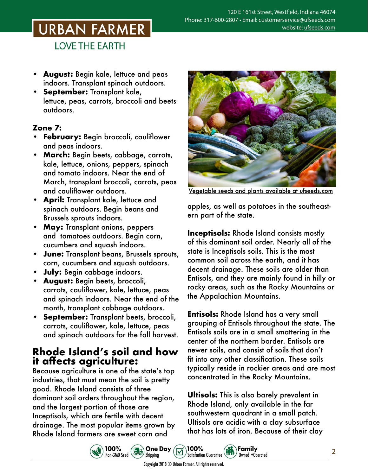# URBAN FARMER

**LOVE THE EARTH** 

- **• August:** Begin kale, lettuce and peas indoors. Transplant spinach outdoors.
- **• September:** Transplant kale, lettuce, peas, carrots, broccoli and beets outdoors.

### **Zone 7:**

- **• February:** Begin broccoli, cauliflower and peas indoors.
- **• March:** Begin beets, cabbage, carrots, kale, lettuce, onions, peppers, spinach and tomato indoors. Near the end of March, transplant broccoli, carrots, peas and cauliflower outdoors.
- **• April:** Transplant kale, lettuce and spinach outdoors. Begin beans and Brussels sprouts indoors.
- **• May:** Transplant onions, peppers and tomatoes outdoors. Begin corn, cucumbers and squash indoors.
- **• June:** Transplant beans, Brussels sprouts, corn, cucumbers and squash outdoors.
- **• July:** Begin cabbage indoors.
- **• August:** Begin beets, broccoli, carrots, cauliflower, kale, lettuce, peas and spinach indoors. Near the end of the month, transplant cabbage outdoors.
- **• September:** Transplant beets, broccoli, carrots, cauliflower, kale, lettuce, peas and spinach outdoors for the fall harvest.

### **Rhode Island's soil and how it affects agriculture:**

Because agriculture is one of the state's top industries, that must mean the soil is pretty good. Rhode Island consists of three dominant soil orders throughout the region, and the largest portion of those are Inceptisols, which are fertile with decent drainage. The most popular items grown by Rhode Island farmers are sweet corn and

100%

100%<br>Non-GM0 Seed (also Shipping



Vegetable seeds and plants [available at ufseeds.com](https://www.ufseeds.com/vegetable-seeds-and-plants/)

apples, as well as potatoes in the southeastern part of the state.

**Inceptisols:** Rhode Island consists mostly of this dominant soil order. Nearly all of the state is Inceptisols soils. This is the most common soil across the earth, and it has decent drainage. These soils are older than Entisols, and they are mainly found in hilly or rocky areas, such as the Rocky Mountains or the Appalachian Mountains.

**Entisols:** Rhode Island has a very small grouping of Entisols throughout the state. The Entisols soils are in a small smattering in the center of the northern border. Entisols are newer soils, and consist of soils that don't fit into any other classification. These soils typically reside in rockier areas and are most concentrated in the Rocky Mountains.

**Ultisols:** This is also barely prevalent in Rhode Island, only available in the far southwestern quadrant in a small patch. Ultisols are acidic with a clay subsurface that has lots of iron. Because of their clay

Family

Owned +Operated



100%